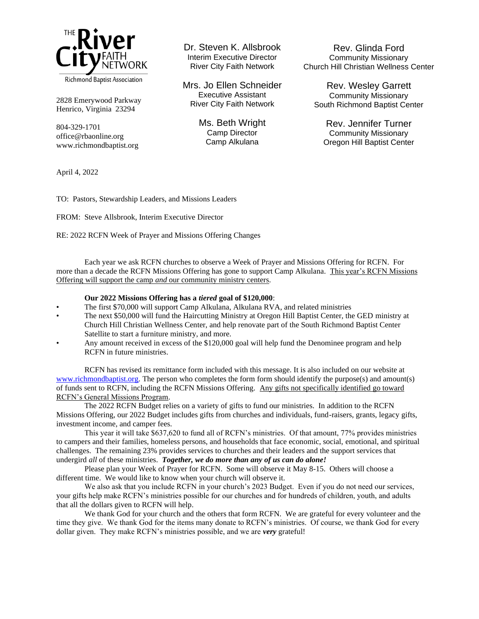

2828 Emerywood Parkway Henrico, Virginia 23294

804-329-1701 office@rbaonline.org www.richmondbaptist.org Dr. Steven K. Allsbrook Interim Executive Director River City Faith Network

Mrs. Jo Ellen Schneider Executive Assistant River City Faith Network

> Ms. Beth Wright Camp Director Camp Alkulana

Rev. Glinda Ford Community Missionary Church Hill Christian Wellness Center

Rev. Wesley Garrett Community Missionary South Richmond Baptist Center

Rev. Jennifer Turner Community Missionary Oregon Hill Baptist Center

April 4, 2022

TO: Pastors, Stewardship Leaders, and Missions Leaders

FROM: Steve Allsbrook, Interim Executive Director

RE: 2022 RCFN Week of Prayer and Missions Offering Changes

Each year we ask RCFN churches to observe a Week of Prayer and Missions Offering for RCFN. For more than a decade the RCFN Missions Offering has gone to support Camp Alkulana. This year's RCFN Missions Offering will support the camp *and* our community ministry centers.

## **Our 2022 Missions Offering has a** *tiered* **goal of \$120,000**:

- The first \$70,000 will support Camp Alkulana, Alkulana RVA, and related ministries
- The next \$50,000 will fund the Haircutting Ministry at Oregon Hill Baptist Center, the GED ministry at Church Hill Christian Wellness Center, and help renovate part of the South Richmond Baptist Center Satellite to start a furniture ministry, and more.
- Any amount received in excess of the \$120,000 goal will help fund the Denominee program and help RCFN in future ministries.

RCFN has revised its remittance form included with this message. It is also included on our website at [www.richmondbaptist.org.](http://www.richmondbaptist.org/) The person who completes the form form should identify the purpose(s) and amount(s) of funds sent to RCFN, including the RCFN Missions Offering. Any gifts not specifically identified go toward RCFN's General Missions Program.

The 2022 RCFN Budget relies on a variety of gifts to fund our ministries. In addition to the RCFN Missions Offering, our 2022 Budget includes gifts from churches and individuals, fund-raisers, grants, legacy gifts, investment income, and camper fees.

This year it will take \$637,620 to fund all of RCFN's ministries. Of that amount, 77% provides ministries to campers and their families, homeless persons, and households that face economic, social, emotional, and spiritual challenges. The remaining 23% provides services to churches and their leaders and the support services that undergird *all* of these ministries. *Together, we do more than any of us can do alone!*

Please plan your Week of Prayer for RCFN. Some will observe it May 8-15. Others will choose a different time. We would like to know when your church will observe it.

We also ask that you include RCFN in your church's 2023 Budget. Even if you do not need our services, your gifts help make RCFN's ministries possible for our churches and for hundreds of children, youth, and adults that all the dollars given to RCFN will help.

We thank God for your church and the others that form RCFN. We are grateful for every volunteer and the time they give. We thank God for the items many donate to RCFN's ministries. Of course, we thank God for every dollar given. They make RCFN's ministries possible, and we are *very* grateful!